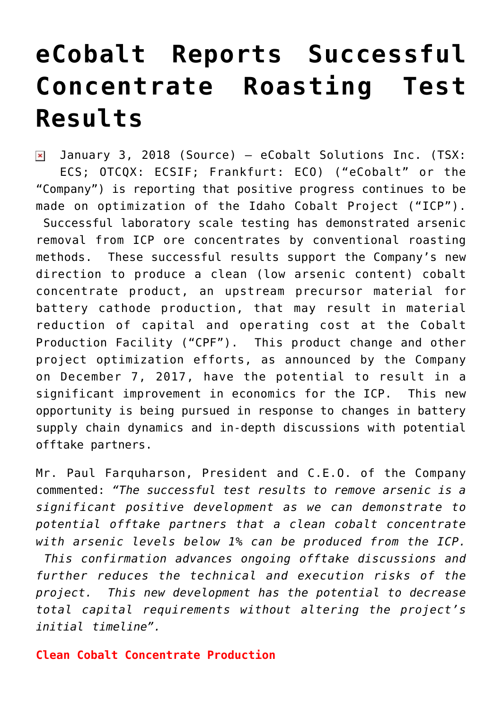## **[eCobalt Reports Successful](https://investorintel.com/markets/technology-metals/technology-metals-news/ecobalt-reports-successful-concentrate-roasting-test-results/) [Concentrate Roasting Test](https://investorintel.com/markets/technology-metals/technology-metals-news/ecobalt-reports-successful-concentrate-roasting-test-results/) [Results](https://investorintel.com/markets/technology-metals/technology-metals-news/ecobalt-reports-successful-concentrate-roasting-test-results/)**

 $\pmb{\times}$ January 3, 2018 ([Source](https://investorintel.com/iintel-members/ecobalt-solutions-inc/)) — eCobalt Solutions Inc. (TSX: ECS; OTCQX: ECSIF; Frankfurt: ECO) ("eCobalt" or the "Company") is reporting that positive progress continues to be made on optimization of the Idaho Cobalt Project ("ICP"). Successful laboratory scale testing has demonstrated arsenic removal from ICP ore concentrates by conventional roasting methods. These successful results support the Company's new direction to produce a clean (low arsenic content) cobalt concentrate product, an upstream precursor material for battery cathode production, that may result in material reduction of capital and operating cost at the Cobalt Production Facility ("CPF"). This product change and other project optimization efforts, as announced by the Company on December 7, 2017, have the potential to result in a significant improvement in economics for the ICP. This new opportunity is being pursued in response to changes in battery supply chain dynamics and in-depth discussions with potential offtake partners.

Mr. Paul Farquharson, President and C.E.O. of the Company commented: *"The successful test results to remove arsenic is a significant positive development as we can demonstrate to potential offtake partners that a clean cobalt concentrate with arsenic levels below 1% can be produced from the ICP.*

 *This confirmation advances ongoing offtake discussions and further reduces the technical and execution risks of the project. This new development has the potential to decrease total capital requirements without altering the project's initial timeline".*

## **Clean Cobalt Concentrate Production**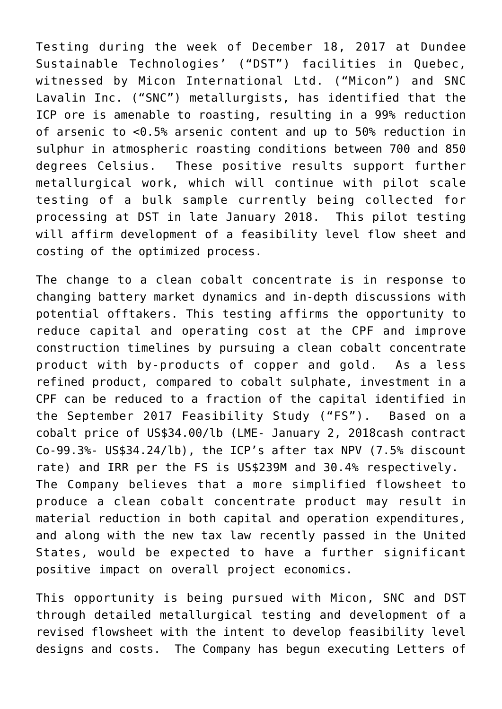Testing during the week of December 18, 2017 at Dundee Sustainable Technologies' ("DST") facilities in Quebec, witnessed by Micon International Ltd. ("Micon") and SNC Lavalin Inc. ("SNC") metallurgists, has identified that the ICP ore is amenable to roasting, resulting in a 99% reduction of arsenic to <0.5% arsenic content and up to 50% reduction in sulphur in atmospheric roasting conditions between 700 and 850 degrees Celsius. These positive results support further metallurgical work, which will continue with pilot scale testing of a bulk sample currently being collected for processing at DST in late January 2018. This pilot testing will affirm development of a feasibility level flow sheet and costing of the optimized process.

The change to a clean cobalt concentrate is in response to changing battery market dynamics and in-depth discussions with potential offtakers. This testing affirms the opportunity to reduce capital and operating cost at the CPF and improve construction timelines by pursuing a clean cobalt concentrate product with by-products of copper and gold. As a less refined product, compared to cobalt sulphate, investment in a CPF can be reduced to a fraction of the capital identified in the September 2017 Feasibility Study ("FS"). Based on a cobalt price of US\$34.00/lb (LME- January 2, 2018cash contract Co-99.3%- US\$34.24/lb), the ICP's after tax NPV (7.5% discount rate) and IRR per the FS is US\$239M and 30.4% respectively. The Company believes that a more simplified flowsheet to produce a clean cobalt concentrate product may result in material reduction in both capital and operation expenditures, and along with the new tax law recently passed in the United States, would be expected to have a further significant positive impact on overall project economics.

This opportunity is being pursued with Micon, SNC and DST through detailed metallurgical testing and development of a revised flowsheet with the intent to develop feasibility level designs and costs. The Company has begun executing Letters of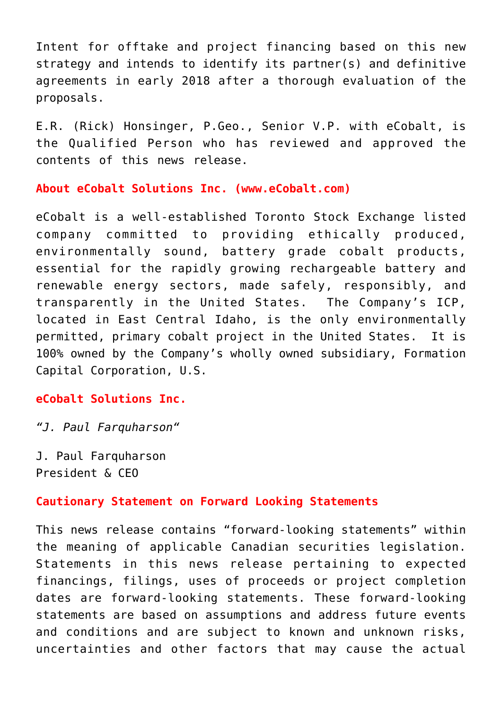Intent for offtake and project financing based on this new strategy and intends to identify its partner(s) and definitive agreements in early 2018 after a thorough evaluation of the proposals.

E.R. (Rick) Honsinger, P.Geo., Senior V.P. with eCobalt, is the Qualified Person who has reviewed and approved the contents of this news release.

**About eCobalt Solutions Inc. [\(www.eCobalt.com](http://www.ecobalt.com/))**

eCobalt is a well-established Toronto Stock Exchange listed company committed to providing ethically produced, environmentally sound, battery grade cobalt products, essential for the rapidly growing rechargeable battery and renewable energy sectors, made safely, responsibly, and transparently in the United States. The Company's ICP, located in East Central Idaho, is the only environmentally permitted, primary cobalt project in the United States. It is 100% owned by the Company's wholly owned subsidiary, Formation Capital Corporation, U.S.

**eCobalt Solutions Inc.**

*"J. Paul Farquharson"*

J. Paul Farquharson President & CEO

## **Cautionary Statement on Forward Looking Statements**

This news release contains "forward-looking statements" within the meaning of applicable Canadian securities legislation. Statements in this news release pertaining to expected financings, filings, uses of proceeds or project completion dates are forward-looking statements. These forward-looking statements are based on assumptions and address future events and conditions and are subject to known and unknown risks, uncertainties and other factors that may cause the actual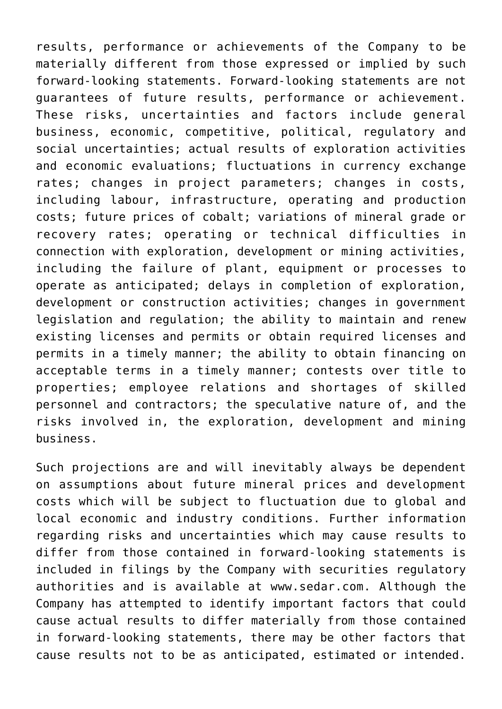results, performance or achievements of the Company to be materially different from those expressed or implied by such forward-looking statements. Forward-looking statements are not guarantees of future results, performance or achievement. These risks, uncertainties and factors include general business, economic, competitive, political, regulatory and social uncertainties; actual results of exploration activities and economic evaluations; fluctuations in currency exchange rates; changes in project parameters; changes in costs, including labour, infrastructure, operating and production costs; future prices of cobalt; variations of mineral grade or recovery rates; operating or technical difficulties in connection with exploration, development or mining activities, including the failure of plant, equipment or processes to operate as anticipated; delays in completion of exploration, development or construction activities; changes in government legislation and regulation; the ability to maintain and renew existing licenses and permits or obtain required licenses and permits in a timely manner; the ability to obtain financing on acceptable terms in a timely manner; contests over title to properties; employee relations and shortages of skilled personnel and contractors; the speculative nature of, and the risks involved in, the exploration, development and mining business.

Such projections are and will inevitably always be dependent on assumptions about future mineral prices and development costs which will be subject to fluctuation due to global and local economic and industry conditions. Further information regarding risks and uncertainties which may cause results to differ from those contained in forward-looking statements is included in filings by the Company with securities regulatory authorities and is available at [www.sedar.com](http://www.sedar.com/). Although the Company has attempted to identify important factors that could cause actual results to differ materially from those contained in forward-looking statements, there may be other factors that cause results not to be as anticipated, estimated or intended.